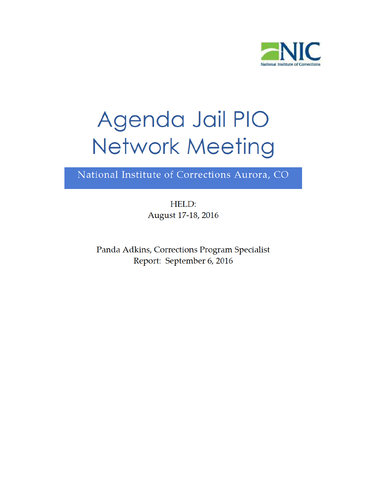

National Institute of Corrections Aurora, CO

HELD: August 17-18, 2016

Panda Adkins, Corrections Program Specialist Report: September 6, 2016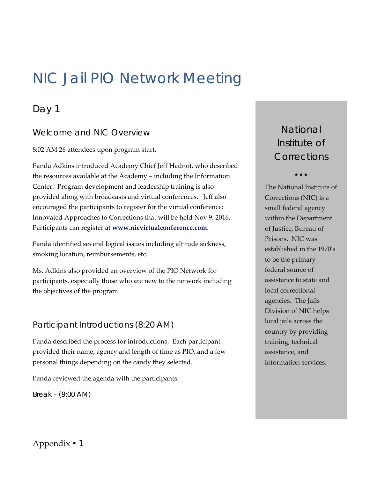## NIC Jail PIO Network Meeting

## Day 1

## Welcome and NIC Overview

8:02 AM 26 attendees upon program start.

 Panda Adkins introduced Academy Chief Jeff Hadnot, who described the resources available at the Academy – including the Information Center. Program development and leadership training is also provided along with broadcasts and virtual conferences. Jeff also encouraged the participants to register for the virtual conference: Innovated Approaches to Corrections that will be held Nov 9, 2016. Participants can register at **www.nicvirtualconference.com**. *Break – (Welcome and NIC Overview* Mational Sections and NIC Overview and the particular of Particular and Adkins introduced Academy Chief Jeff Hadnot, who described the resources available at the Academy -inducing the In

 Panda identified several logical issues including altitude sickness, smoking location, reimbursements, etc.

 Ms. Adkins also provided an overview of the PIO Network for participants, especially those who are new to the network including the objectives of the program.

## Participant Introductions (8:20 AM)

 Panda described the process for introductions. Each participant provided their name, agency and length of time as PIO, and a few personal things depending on the candy they selected.

Panda reviewed the agenda with the participants.

*Break - (9:00 AM)* 

*Institute of Corrections*

 $\bullet$   $\bullet$   $\bullet$ 

 The National Institute of Corrections (NIC) is a small federal agency within the Department of Justice, Bureau of Prisons. NIC was established in the 1970ʹs to be the primary federal source of assistance to state and agencies. The Jails Division of NIC helps local jails across the country by providing training, technical assistance, and information services. local correctional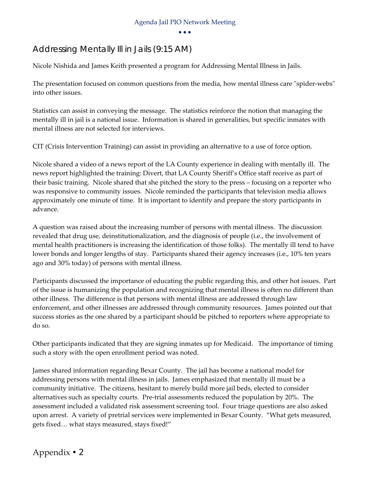$\bullet$ <br> $\bullet$  $\bullet$   $\bullet$   $\bullet$ 

## Addressing Mentally Ill in Jails (9:15 AM)

Nicole Nishida and James Keith presented a program for Addressing Mental Illness in Jails.

The presentation focused on common questions from the media, how mental illness care "spider-webs" into other issues.

 Statistics can assist in conveying the message. The statistics reinforce the notion that managing the mentally ill in jail is a national issue. Information is shared in generalities, but specific inmates with mental illness are not selected for interviews.

CIT (Crisis Intervention Training) can assist in providing an alternative to a use of force option.

 Nicole shared a video of a news report of the LA County experience in dealing with mentally ill. The news report highlighted the training: Divert, that LA County Sheriff's Office staff receive as part of their basic training. Nicole shared that she pitched the story to the press – focusing on a reporter who was responsive to community issues. Nicole reminded the participants that television media allows approximately one minute of time. It is important to identify and prepare the story participants in advance.

 A question was raised about the increasing number of persons with mental illness. The discussion revealed that drug use, deinstitutionalization, and the diagnosis of people (i.e., the involvement of mental health practitioners is increasing the identification of those folks). The mentally ill tend to have lower bonds and longer lengths of stay. Participants shared their agency increases (i.e., 10% ten years ago and 30% today) of persons with mental illness.

 Participants discussed the importance of educating the public regarding this, and other hot issues. Part of the issue is humanizing the population and recognizing that mental illness is often no different than other illness. The difference is that persons with mental illness are addressed through law enforcement, and other illnesses are addressed through community resources. James pointed out that success stories as the one shared by a participant should be pitched to reporters where appropriate to do so.

 Other participants indicated that they are signing inmates up for Medicaid. The importance of timing such a story with the open enrollment period was noted.

 James shared information regarding Bexar County. The jail has become a national model for addressing persons with mental illness in jails. James emphasized that mentally ill must be a community initiative. The citizens, hesitant to merely build more jail beds, elected to consider alternatives such as specialty courts. Pre‐trial assessments reduced the population by 20%. The assessment included a validated risk assessment screening tool. Four triage questions are also asked upon arrest. A variety of pretrial services were implemented in Bexar County. "What gets measured, gets fixed… what stays measured, stays fixed!"

Appendix • 2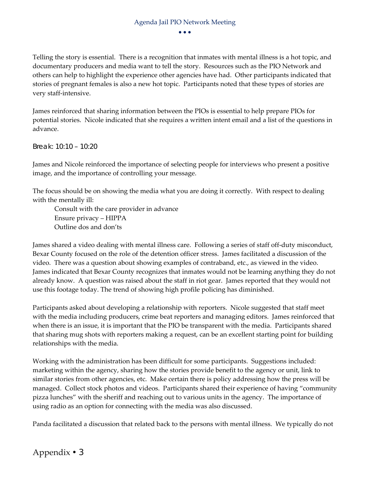Telling the story is essential. There is a recognition that inmates with mental illness is a hot topic, and documentary producers and media want to tell the story. Resources such as the PIO Network and others can help to highlight the experience other agencies have had. Other participants indicated that stories of pregnant females is also a new hot topic. Participants noted that these types of stories are very staff‐intensive.

 James reinforced that sharing information between the PIOs is essential to help prepare PIOs for potential stories. Nicole indicated that she requires a written intent email and a list of the questions in advance.

*Break: 10:10 – 10:20* 

 James and Nicole reinforced the importance of selecting people for interviews who present a positive image, and the importance of controlling your message.

 The focus should be on showing the media what you are doing it correctly. With respect to dealing with the mentally ill:

 Consult with the care provider in advance Ensure privacy – HIPPA Outline dos and don'ts

 James shared a video dealing with mental illness care. Following a series of staff off‐duty misconduct, Bexar County focused on the role of the detention officer stress. James facilitated a discussion of the video. There was a question about showing examples of contraband, etc., as viewed in the video. James indicated that Bexar County recognizes that inmates would not be learning anything they do not already know. A question was raised about the staff in riot gear. James reported that they would not use this footage today. The trend of showing high profile policing has diminished.

 Participants asked about developing a relationship with reporters. Nicole suggested that staff meet with the media including producers, crime beat reporters and managing editors. James reinforced that when there is an issue, it is important that the PIO be transparent with the media. Participants shared that sharing mug shots with reporters making a request, can be an excellent starting point for building relationships with the media.

 Working with the administration has been difficult for some participants. Suggestions included: marketing within the agency, sharing how the stories provide benefit to the agency or unit, link to similar stories from other agencies, etc. Make certain there is policy addressing how the press will be managed. Collect stock photos and videos. Participants shared their experience of having "community pizza lunches" with the sheriff and reaching out to various units in the agency. The importance of using radio as an option for connecting with the media was also discussed.

Panda facilitated a discussion that related back to the persons with mental illness. We typically do not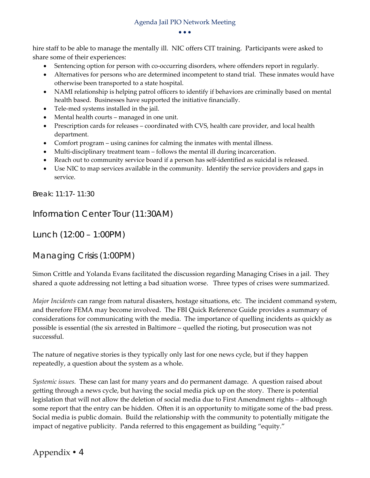$\bullet$ <br> $\bullet$  $\bullet$   $\bullet$   $\bullet$ 

 hire staff to be able to manage the mentally ill. NIC offers CIT training. Participants were asked to share some of their experiences:

- Sentencing option for person with co-occurring disorders, where offenders report in regularly.
- Alternatives for persons who are determined incompetent to stand trial. These inmates would have otherwise been transported to a state hospital.
- NAMI relationship is helping patrol officers to identify if behaviors are criminally based on mental health based. Businesses have supported the initiative financially.
- Tele-med systems installed in the jail.
- Mental health courts managed in one unit.
- Prescription cards for releases coordinated with CVS, health care provider, and local health department.
- Comfort program using canines for calming the inmates with mental illness.
- Multi-disciplinary treatment team follows the mental ill during incarceration.
- Reach out to community service board if a person has self-identified as suicidal is released.
- Use NIC to map services available in the community. Identify the service providers and gaps in service.

*Break: 11:17- 11:30* 

Information Center Tour (11:30AM)

Lunch (12:00 – 1:00PM)

Managing Crisis (1:00PM)

 Simon Crittle and Yolanda Evans facilitated the discussion regarding Managing Crises in a jail. They shared a quote addressing not letting a bad situation worse. Three types of crises were summarized.

 *Major Incidents* can range from natural disasters, hostage situations, etc. The incident command system, and therefore FEMA may become involved. The FBI Quick Reference Guide provides a summary of considerations for communicating with the media. The importance of quelling incidents as quickly as possible is essential (the six arrested in Baltimore – quelled the rioting, but prosecution was not successful.

 The nature of negative stories is they typically only last for one news cycle, but if they happen repeatedly, a question about the system as a whole.

 *Systemic issues.* These can last for many years and do permanent damage. A question raised about getting through a news cycle, but having the social media pick up on the story. There is potential legislation that will not allow the deletion of social media due to First Amendment rights – although some report that the entry can be hidden. Often it is an opportunity to mitigate some of the bad press. Social media is public domain. Build the relationship with the community to potentially mitigate the impact of negative publicity. Panda referred to this engagement as building "equity."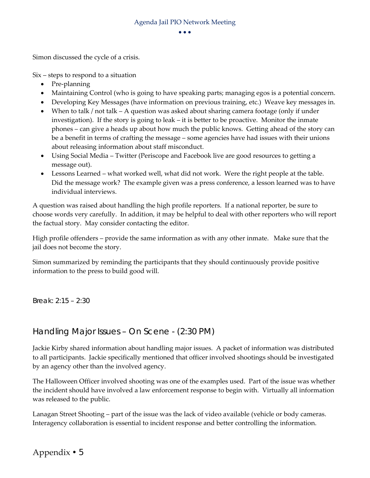Simon discussed the cycle of a crisis.

Six – steps to respond to a situation

- Pre-planning
- Maintaining Control (who is going to have speaking parts; managing egos is a potential concern.
- Developing Key Messages (have information on previous training, etc.) Weave key messages in.
- When to talk / not talk A question was asked about sharing camera footage (only if under investigation). If the story is going to leak – it is better to be proactive. Monitor the inmate phones – can give a heads up about how much the public knows. Getting ahead of the story can be a benefit in terms of crafting the message – some agencies have had issues with their unions about releasing information about staff misconduct.
- Using Social Media Twitter (Periscope and Facebook live are good resources to getting a message out).
- Lessons Learned what worked well, what did not work. Were the right people at the table. Did the message work? The example given was a press conference, a lesson learned was to have individual interviews.

 A question was raised about handling the high profile reporters. If a national reporter, be sure to choose words very carefully. In addition, it may be helpful to deal with other reporters who will report the factual story. May consider contacting the editor.

 High profile offenders – provide the same information as with any other inmate. Make sure that the jail does not become the story.

 Simon summarized by reminding the participants that they should continuously provide positive information to the press to build good will.

*Break: 2:15 – 2:30* 

### Handling Major Issues – On Scene - (2:30 PM)

 Jackie Kirby shared information about handling major issues. A packet of information was distributed to all participants. Jackie specifically mentioned that officer involved shootings should be investigated by an agency other than the involved agency.

 The Halloween Officer involved shooting was one of the examples used. Part of the issue was whether the incident should have involved a law enforcement response to begin with. Virtually all information was released to the public.

 Lanagan Street Shooting – part of the issue was the lack of video available (vehicle or body cameras. Interagency collaboration is essential to incident response and better controlling the information.

Appendix • 5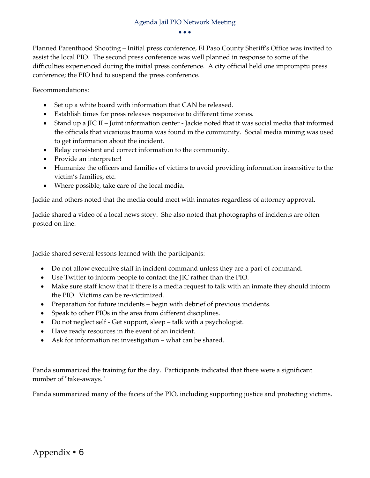Planned Parenthood Shooting – Initial press conference, El Paso County Sheriffʹs Office was invited to assist the local PIO. The second press conference was well planned in response to some of the difficulties experienced during the initial press conference. A city official held one impromptu press conference; the PIO had to suspend the press conference.

Recommendations:

- Set up a white board with information that CAN be released.
- Establish times for press releases responsive to different time zones.
- Stand up a JIC II Joint information center ‐ Jackie noted that it was social media that informed the officials that vicarious trauma was found in the community. Social media mining was used to get information about the incident.
- Relay consistent and correct information to the community.
- Provide an interpreter!
- Humanize the officers and families of victims to avoid providing information insensitive to the victim's families, etc.
- Where possible, take care of the local media.

Jackie and others noted that the media could meet with inmates regardless of attorney approval.

 Jackie shared a video of a local news story. She also noted that photographs of incidents are often posted on line.

Jackie shared several lessons learned with the participants:

- Do not allow executive staff in incident command unless they are a part of command.
- Use Twitter to inform people to contact the JIC rather than the PIO.
- Make sure staff know that if there is a media request to talk with an inmate they should inform the PIO. Victims can be re‐victimized.
- Preparation for future incidents begin with debrief of previous incidents.
- Speak to other PIOs in the area from different disciplines.
- Do not neglect self ‐ Get support, sleep talk with a psychologist.
- Have ready resources in the event of an incident.
- Ask for information re: investigation what can be shared.

 Panda summarized the training for the day. Participants indicated that there were a significant number of "take-aways."

Panda summarized many of the facets of the PIO, including supporting justice and protecting victims.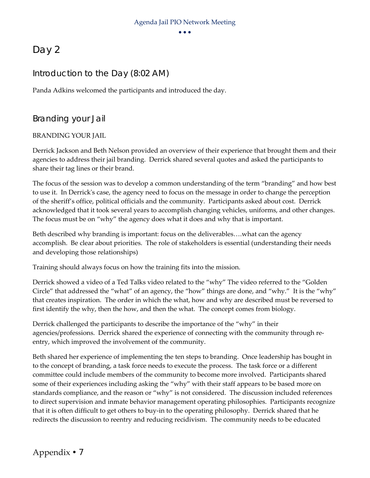## Day 2

## Introduction to the Day (8:02 AM)

Panda Adkins welcomed the participants and introduced the day.

Branding your Jail

#### BRANDING YOUR JAIL

 Derrick Jackson and Beth Nelson provided an overview of their experience that brought them and their agencies to address their jail branding. Derrick shared several quotes and asked the participants to share their tag lines or their brand.

 The focus of the session was to develop a common understanding of the term "branding" and how best to use it. In Derrickʹs case, the agency need to focus on the message in order to change the perception of the sheriff's office, political officials and the community. Participants asked about cost. Derrick acknowledged that it took several years to accomplish changing vehicles, uniforms, and other changes. The focus must be on "why" the agency does what it does and why that is important.

 Beth described why branding is important: focus on the deliverables….what can the agency accomplish. Be clear about priorities. The role of stakeholders is essential (understanding their needs and developing those relationships)

Training should always focus on how the training fits into the mission.

 Derrick showed a video of a Ted Talks video related to the "why" The video referred to the "Golden Circle" that addressed the "what" of an agency, the "how" things are done, and "why." It is the "why" that creates inspiration. The order in which the what, how and why are described must be reversed to first identify the why, then the how, and then the what. The concept comes from biology.

 Derrick challenged the participants to describe the importance of the "why" in their agencies/professions. Derrick shared the experience of connecting with the community through re‐ entry, which improved the involvement of the community.

 Beth shared her experience of implementing the ten steps to branding. Once leadership has bought in to the concept of branding, a task force needs to execute the process. The task force or a different committee could include members of the community to become more involved. Participants shared some of their experiences including asking the "why" with their staff appears to be based more on standards compliance, and the reason or "why" is not considered. The discussion included references to direct supervision and inmate behavior management operating philosophies. Participants recognize that it is often difficult to get others to buy‐in to the operating philosophy. Derrick shared that he redirects the discussion to reentry and reducing recidivism. The community needs to be educated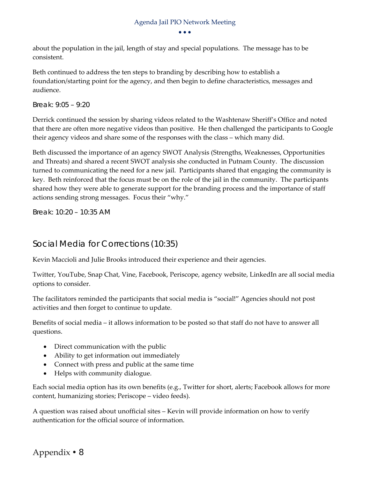$\bullet$ <br> $\bullet$  $\bullet$   $\bullet$   $\bullet$ 

 about the population in the jail, length of stay and special populations. The message has to be consistent.

 Beth continued to address the ten steps to branding by describing how to establish a foundation/starting point for the agency, and then begin to define characteristics, messages and audience.

#### *Break: 9:05 – 9:20*

 Derrick continued the session by sharing videos related to the Washtenaw Sheriff's Office and noted that there are often more negative videos than positive. He then challenged the participants to Google their agency videos and share some of the responses with the class – which many did.

 Beth discussed the importance of an agency SWOT Analysis (Strengths, Weaknesses, Opportunities and Threats) and shared a recent SWOT analysis she conducted in Putnam County. The discussion turned to communicating the need for a new jail. Participants shared that engaging the community is key. Beth reinforced that the focus must be on the role of the jail in the community. The participants shared how they were able to generate support for the branding process and the importance of staff actions sending strong messages. Focus their "why."

*Break: 10:20 – 10:35 AM* 

## Social Media for Corrections (10:35)

Kevin Maccioli and Julie Brooks introduced their experience and their agencies.

 Twitter, YouTube, Snap Chat, Vine, Facebook, Periscope, agency website, LinkedIn are all social media options to consider.

 The facilitators reminded the participants that social media is "social!" Agencies should not post activities and then forget to continue to update.

 Benefits of social media – it allows information to be posted so that staff do not have to answer all questions.

- Direct communication with the public
- Ability to get information out immediately
- Connect with press and public at the same time
- Helps with community dialogue.

 Each social media option has its own benefits (e.g., Twitter for short, alerts; Facebook allows for more content, humanizing stories; Periscope – video feeds).

 A question was raised about unofficial sites – Kevin will provide information on how to verify authentication for the official source of information.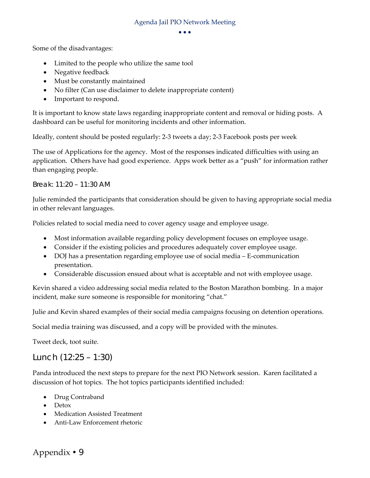$\bullet$ <br> $\bullet$  $\bullet$   $\bullet$ 

Some of the disadvantages:

- Limited to the people who utilize the same tool
- Negative feedback
- Must be constantly maintained
- No filter (Can use disclaimer to delete inappropriate content)
- Important to respond.

 It is important to know state laws regarding inappropriate content and removal or hiding posts. A dashboard can be useful for monitoring incidents and other information.

Ideally, content should be posted regularly: 2‐3 tweets a day; 2‐3 Facebook posts per week

 The use of Applications for the agency. Most of the responses indicated difficulties with using an application. Others have had good experience. Apps work better as a "push" for information rather than engaging people.

#### *Break: 11:20 – 11:30 AM*

 Julie reminded the participants that consideration should be given to having appropriate social media in other relevant languages.

Policies related to social media need to cover agency usage and employee usage.

- Most information available regarding policy development focuses on employee usage.
- Consider if the existing policies and procedures adequately cover employee usage.
- DOJ has a presentation regarding employee use of social media E-communication presentation.
- Considerable discussion ensued about what is acceptable and not with employee usage.

 Kevin shared a video addressing social media related to the Boston Marathon bombing. In a major incident, make sure someone is responsible for monitoring "chat."

Julie and Kevin shared examples of their social media campaigns focusing on detention operations.

Social media training was discussed, and a copy will be provided with the minutes.

Tweet deck, toot suite.

Lunch (12:25 – 1:30)

 Panda introduced the next steps to prepare for the next PIO Network session. Karen facilitated a discussion of hot topics. The hot topics participants identified included:

- Drug Contraband
- Detox
- Medication Assisted Treatment
- Anti-Law Enforcement rhetoric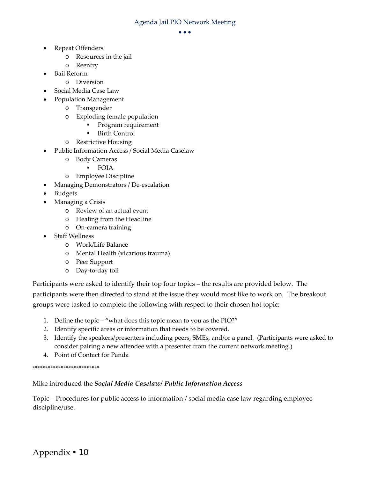#### $\bullet$ <br> $\bullet$  $\bullet$   $\bullet$   $\bullet$

- Repeat Offenders
	- o Resources in the jail
	- o Reentry
- Bail Reform
	- o Diversion
- Social Media Case Law
- Population Management
	- o Transgender
	- o Exploding female population
		- **Program requirement**
		- Birth Control
	- o Restrictive Housing
- Public Information Access / Social Media Caselaw
	- o Body Cameras
		- $F$ OIA
	- o Employee Discipline
- Managing Demonstrators / De-escalation
- Budgets
- Managing a Crisis
	- o Review of an actual event
	- o Healing from the Headline
	- o On‐camera training
- Staff Wellness
	- o Work/Life Balance
	- o Mental Health (vicarious trauma)
	- o Peer Support
	- o Day‐to‐day toll

 Participants were asked to identify their top four topics – the results are provided below. The participants were then directed to stand at the issue they would most like to work on. The breakout groups were tasked to complete the following with respect to their chosen hot topic:

- 1. Define the topic "what does this topic mean to you as the PIO?"
- 2. Identify specific areas or information that needs to be covered.
- 3. Identify the speakers/presenters including peers, SMEs, and/or a panel. (Participants were asked to consider pairing a new attendee with a presenter from the current network meeting.)
- 4. Point of Contact for Panda

\*\*\*\*\*\*\*\*\*\*\*\*\*\*\*\*\*\*\*\*\*\*\*\*\*\*

 Mike introduced the *Social Media Caselaw/ Public Information Access*

 Topic – Procedures for public access to information / social media case law regarding employee discipline/use.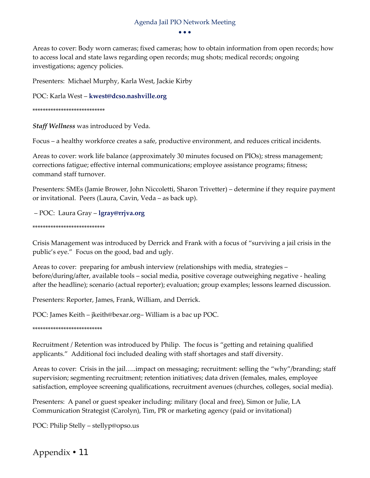$\bullet$ <br> $\bullet$  $\bullet$   $\bullet$   $\bullet$ 

 Areas to cover: Body worn cameras; fixed cameras; how to obtain information from open records; how to access local and state laws regarding open records; mug shots; medical records; ongoing investigations; agency policies.

Presenters: Michael Murphy, Karla West, Jackie Kirby

POC: Karla West – **kwest@dcso.nashville.org**

#### \*\*\*\*\*\*\*\*\*\*\*\*\*\*\*\*\*\*\*\*\*\*\*\*\*\*\*\*

*Staff Wellness* was introduced by Veda.

Focus – a healthy workforce creates a safe, productive environment, and reduces critical incidents.

 Areas to cover: work life balance (approximately 30 minutes focused on PIOs); stress management; corrections fatigue; effective internal communications; employee assistance programs; fitness; command staff turnover.

 Presenters: SMEs (Jamie Brower, John Niccoletti, Sharon Trivetter) – determine if they require payment or invitational. Peers (Laura, Cavin, Veda – as back up).

– POC: Laura Gray – **lgray@rrjva.org**

#### \*\*\*\*\*\*\*\*\*\*\*\*\*\*\*\*\*\*\*\*\*\*\*\*\*\*\*\*

 Crisis Management was introduced by Derrick and Frank with a focus of "surviving a jail crisis in the public's eye." Focus on the good, bad and ugly.

 Areas to cover: preparing for ambush interview (relationships with media, strategies – before/during/after, available tools – social media, positive coverage outweighing negative ‐ healing after the headline); scenario (actual reporter); evaluation; group examples; lessons learned discussion.

Presenters: Reporter, James, Frank, William, and Derrick.

POC: James Keith – jkeith@bexar.org– William is a bac up POC.

\*\*\*\*\*\*\*\*\*\*\*\*\*\*\*\*\*\*\*\*\*\*\*\*\*\*\*

 Recruitment / Retention was introduced by Philip. The focus is "getting and retaining qualified applicants." Additional foci included dealing with staff shortages and staff diversity.

 Areas to cover: Crisis in the jail…..impact on messaging; recruitment: selling the "why"/branding; staff supervision; segmenting recruitment; retention initiatives; data driven (females, males, employee satisfaction, employee screening qualifications, recruitment avenues (churches, colleges, social media).

 Presenters: A panel or guest speaker including: military (local and free), Simon or Julie, LA Communication Strategist (Carolyn), Tim, PR or marketing agency (paid or invitational)

POC: Philip Stelly – stellyp@opso.us

Appendix 11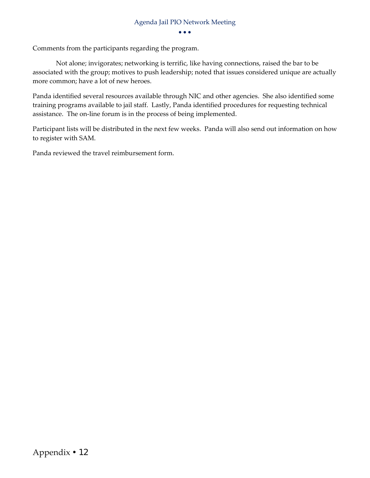$\bullet$ <br> $\bullet$  $\bullet$   $\bullet$ 

Comments from the participants regarding the program.

 Not alone; invigorates; networking is terrific, like having connections, raised the bar to be associated with the group; motives to push leadership; noted that issues considered unique are actually more common; have a lot of new heroes.

 Panda identified several resources available through NIC and other agencies. She also identified some training programs available to jail staff. Lastly, Panda identified procedures for requesting technical assistance. The on‐line forum is in the process of being implemented.

 Participant lists will be distributed in the next few weeks. Panda will also send out information on how to register with SAM.

Panda reviewed the travel reimbursement form.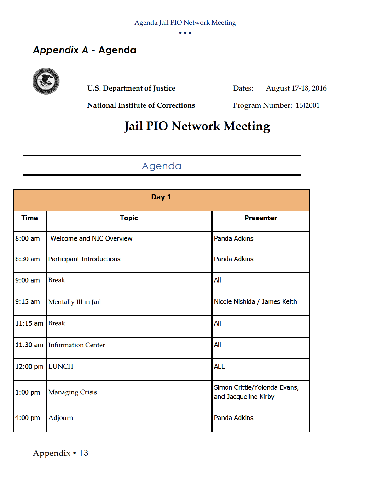$\bullet$ 

## Appendix A - Agenda



**U.S. Department of Justice** 

August 17-18, 2016 Dates:

**National Institute of Corrections** 

Program Number: 16J2001

## **Jail PIO Network Meeting**

## Agenda

| Day 1       |                                  |                                                      |
|-------------|----------------------------------|------------------------------------------------------|
| <b>Time</b> | <b>Topic</b>                     | <b>Presenter</b>                                     |
| $8:00$ am   | Welcome and NIC Overview         | <b>Panda Adkins</b>                                  |
| 8:30 am     | <b>Participant Introductions</b> | <b>Panda Adkins</b>                                  |
| $9:00$ am   | <b>Break</b>                     | All                                                  |
| $9:15$ am   | Mentally Ill in Jail             | Nicole Nishida / James Keith                         |
| $11:15$ am  | <b>Break</b>                     | All                                                  |
|             | 11:30 am Information Center      | All                                                  |
| 12:00 pm    | <b>LUNCH</b>                     | <b>ALL</b>                                           |
| $1:00$ pm   | <b>Managing Crisis</b>           | Simon Crittle/Yolonda Evans,<br>and Jacqueline Kirby |
| $4:00$ pm   | Adjourn                          | <b>Panda Adkins</b>                                  |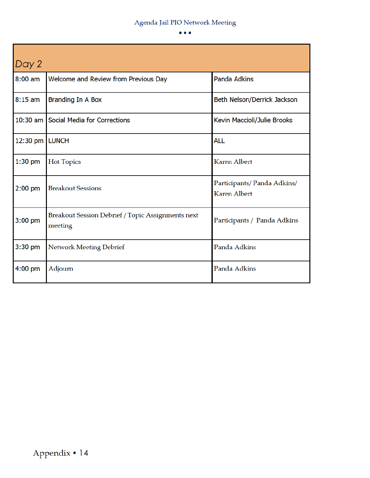$\bullet \bullet \bullet$ 

| Day 2          |                                                              |                                                   |  |
|----------------|--------------------------------------------------------------|---------------------------------------------------|--|
| $8:00$ am      | Welcome and Review from Previous Day                         | <b>Panda Adkins</b>                               |  |
| $8:15$ am      | <b>Branding In A Box</b>                                     | Beth Nelson/Derrick Jackson                       |  |
|                | 10:30 am Social Media for Corrections                        | Kevin Maccioli/Julie Brooks                       |  |
| 12:30 pm LUNCH |                                                              | <b>ALL</b>                                        |  |
| $1:30$ pm      | <b>Hot Topics</b>                                            | <b>Karen Albert</b>                               |  |
| $2:00$ pm      | <b>Breakout Sessions</b>                                     | Participants/Panda Adkins/<br><b>Karen Albert</b> |  |
| $3:00$ pm      | Breakout Session Debrief / Topic Assignments next<br>meeting | Participants / Panda Adkins                       |  |
| $3:30$ pm      | Network Meeting Debrief                                      | Panda Adkins                                      |  |
| $4:00$ pm      | Adjourn                                                      | Panda Adkins                                      |  |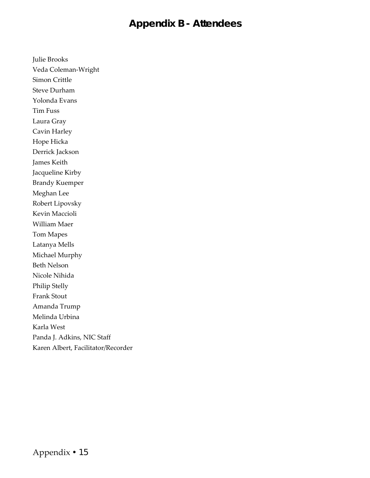## *Appendix B -* **Attendees**

 Simon Crittle Steve Durham Yolonda Evans Tim Fuss Laura Gray Cavin Harley Hope Hicka Derrick Jackson James Keith Jacqueline Kirby Brandy Kuemper Meghan Lee Robert Lipovsky Kevin Maccioli William Maer Tom Mapes Latanya Mells Michael Murphy Beth Nelson Nicole Nihida Philip Stelly Frank Stout Melinda Urbina Karla West Panda J. Adkins, NIC Staff Karen Albert, Facilitator/Recorder Veda Coleman‐Wright Amanda Trump

Julie Brooks